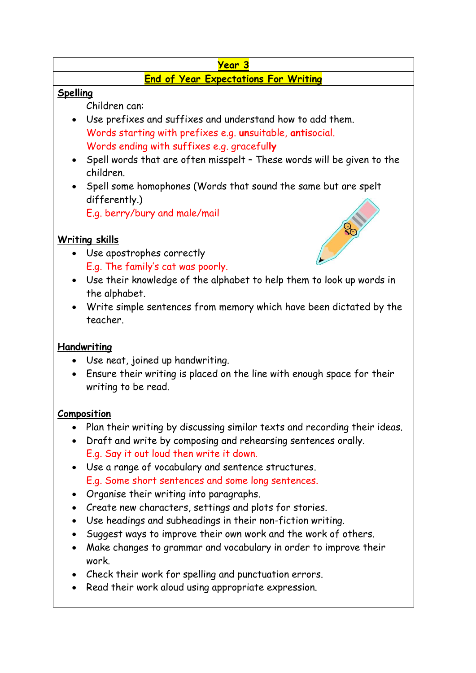# **Year 3**

### **End of Year Expectations For Writing**

#### **Spelling**

Children can:

- Use prefixes and suffixes and understand how to add them. Words starting with prefixes e.g. **un**suitable, **anti**social. Words ending with suffixes e.g. graceful**ly**
- Spell words that are often misspelt These words will be given to the children.
- Spell some homophones (Words that sound the same but are spelt differently.)

E.g. berry/bury and male/mail

## **Writing skills**

- Use apostrophes correctly E.g. The family's cat was poorly.
- Use their knowledge of the alphabet to help them to look up words in the alphabet.
- Write simple sentences from memory which have been dictated by the teacher.

### **Handwriting**

- Use neat, joined up handwriting.
- Ensure their writing is placed on the line with enough space for their writing to be read.

### **Composition**

- Plan their writing by discussing similar texts and recording their ideas.
- Draft and write by composing and rehearsing sentences orally. E.g. Say it out loud then write it down.
- Use a range of vocabulary and sentence structures. E.g. Some short sentences and some long sentences.
- Organise their writing into paragraphs.
- Create new characters, settings and plots for stories.
- Use headings and subheadings in their non-fiction writing.
- Suggest ways to improve their own work and the work of others.
- Make changes to grammar and vocabulary in order to improve their work.
- Check their work for spelling and punctuation errors.
- Read their work aloud using appropriate expression.